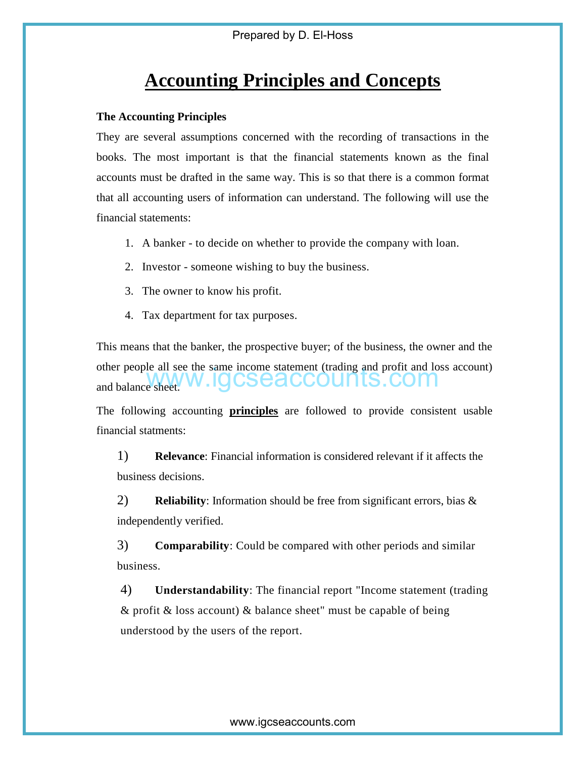## **Accounting Principles and Concepts**

#### **The Accounting Principles**

They are several assumptions concerned with the recording of transactions in the books. The most important is that the financial statements known as the final accounts must be drafted in the same way. This is so that there is a common format that all accounting users of information can understand. The following will use the financial statements:

- 1. A banker to decide on whether to provide the company with loan.
- 2. Investor someone wishing to buy the business.
- 3. The owner to know his profit.
- 4. Tax department for tax purposes.

This means that the banker, the prospective buyer; of the business, the owner and the other people all see the same income statement (trading and profit and loss account) and balance sheet.

The following accounting **principles** are followed to provide consistent usable financial statments:

1) **Relevance**: Financial information is considered relevant if it affects the business decisions.

2) **Reliability**: Information should be free from significant errors, bias & independently verified.

3) **Comparability**: Could be compared with other periods and similar business.

4) **Understandability**: The financial report "Income statement (trading & profit & loss account) & balance sheet" must be capable of being understood by the users of the report. www.igcseaccounts.com<br>We was ensigned by the user in Section Science: Financial information is considered relevant if it as<br>secisions.<br>Reliability: Information should be free from significant errors<br>attentions.<br>Reliability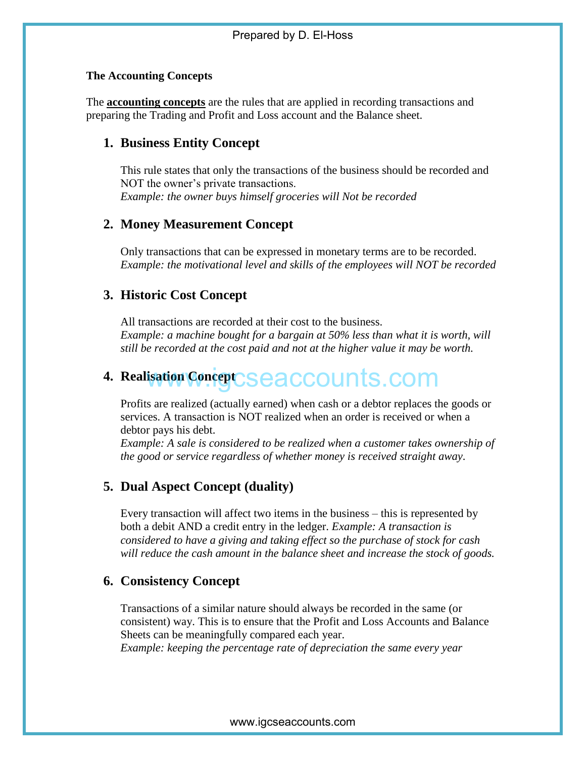#### **The Accounting Concepts**

The **accounting concepts** are the rules that are applied in recording transactions and preparing the Trading and Profit and Loss account and the Balance sheet.

## **1. Business Entity Concept**

This rule states that only the transactions of the business should be recorded and NOT the owner's private transactions. *Example: the owner buys himself groceries will Not be recorded* 

## **2. Money Measurement Concept**

Only transactions that can be expressed in monetary terms are to be recorded. *Example: the motivational level and skills of the employees will NOT be recorded* 

## **3. Historic Cost Concept**

All transactions are recorded at their cost to the business. *Example: a machine bought for a bargain at 50% less than what it is worth, will still be recorded at the cost paid and not at the higher value it may be worth.* 

# **4. Realisation Concept CSEACCOUNTS.COM**

Profits are realized (actually earned) when cash or a debtor replaces the goods or services. A transaction is NOT realized when an order is received or when a debtor pays his debt.

*Example: A sale is considered to be realized when a customer takes ownership of the good or service regardless of whether money is received straight away.* 

## **5. Dual Aspect Concept (duality)**

Every transaction will affect two items in the business – this is represented by both a debit AND a credit entry in the ledger. *Example: A transaction is considered to have a giving and taking effect so the purchase of stock for cash will reduce the cash amount in the balance sheet and increase the stock of goods.*  **Example 19 Seach COUNTS. CONT**<br>
Seare realized (actually earned) when cash or a debtor replaces these.<br>
Sease. A transaction is NOT realized when an order is received or replaces<br>
prepays his debt.<br>
ple: A sale is conside

## **6. Consistency Concept**

Transactions of a similar nature should always be recorded in the same (or consistent) way. This is to ensure that the Profit and Loss Accounts and Balance Sheets can be meaningfully compared each year.

*Example: keeping the percentage rate of depreciation the same every year*